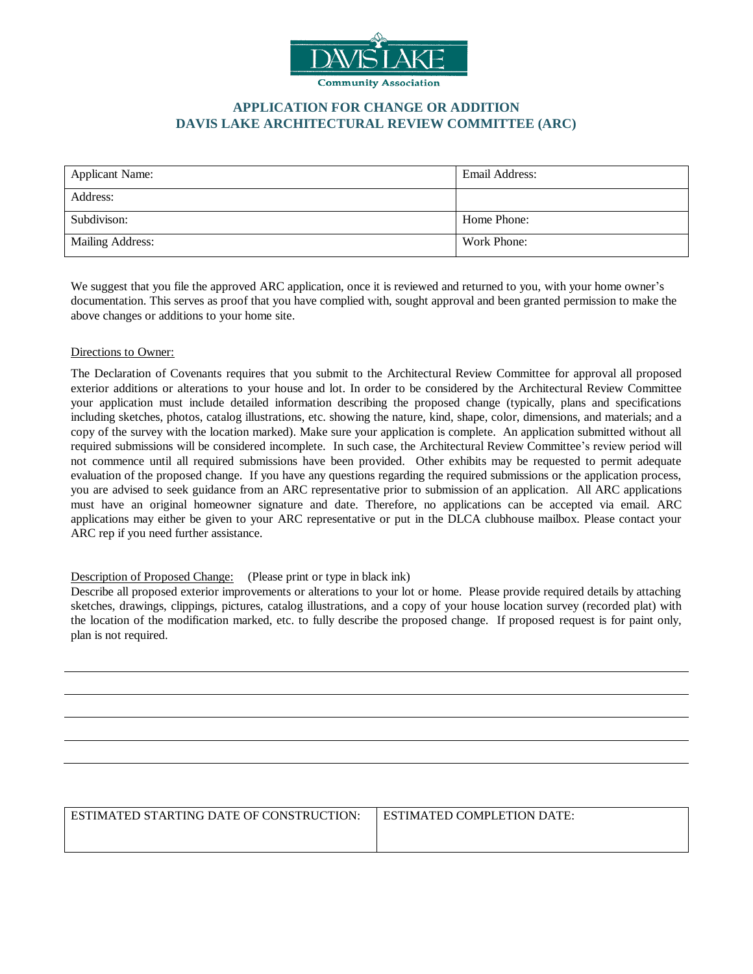

# **APPLICATION FOR CHANGE OR ADDITION DAVIS LAKE ARCHITECTURAL REVIEW COMMITTEE (ARC)**

| <b>Applicant Name:</b> | Email Address: |
|------------------------|----------------|
| Address:               |                |
| Subdivison:            | Home Phone:    |
| Mailing Address:       | Work Phone:    |

We suggest that you file the approved ARC application, once it is reviewed and returned to you, with your home owner's documentation. This serves as proof that you have complied with, sought approval and been granted permission to make the above changes or additions to your home site.

### Directions to Owner:

The Declaration of Covenants requires that you submit to the Architectural Review Committee for approval all proposed exterior additions or alterations to your house and lot. In order to be considered by the Architectural Review Committee your application must include detailed information describing the proposed change (typically, plans and specifications including sketches, photos, catalog illustrations, etc. showing the nature, kind, shape, color, dimensions, and materials; and a copy of the survey with the location marked). Make sure your application is complete. An application submitted without all required submissions will be considered incomplete. In such case, the Architectural Review Committee's review period will not commence until all required submissions have been provided. Other exhibits may be requested to permit adequate evaluation of the proposed change. If you have any questions regarding the required submissions or the application process, you are advised to seek guidance from an ARC representative prior to submission of an application. All ARC applications must have an original homeowner signature and date. Therefore, no applications can be accepted via email. ARC applications may either be given to your ARC representative or put in the DLCA clubhouse mailbox. Please contact your ARC rep if you need further assistance.

#### Description of Proposed Change: (Please print or type in black ink)

Describe all proposed exterior improvements or alterations to your lot or home. Please provide required details by attaching sketches, drawings, clippings, pictures, catalog illustrations, and a copy of your house location survey (recorded plat) with the location of the modification marked, etc. to fully describe the proposed change. If proposed request is for paint only, plan is not required.

| ESTIMATED STARTING DATE OF CONSTRUCTION: | ESTIMATED COMPLETION DATE: |
|------------------------------------------|----------------------------|
|                                          |                            |